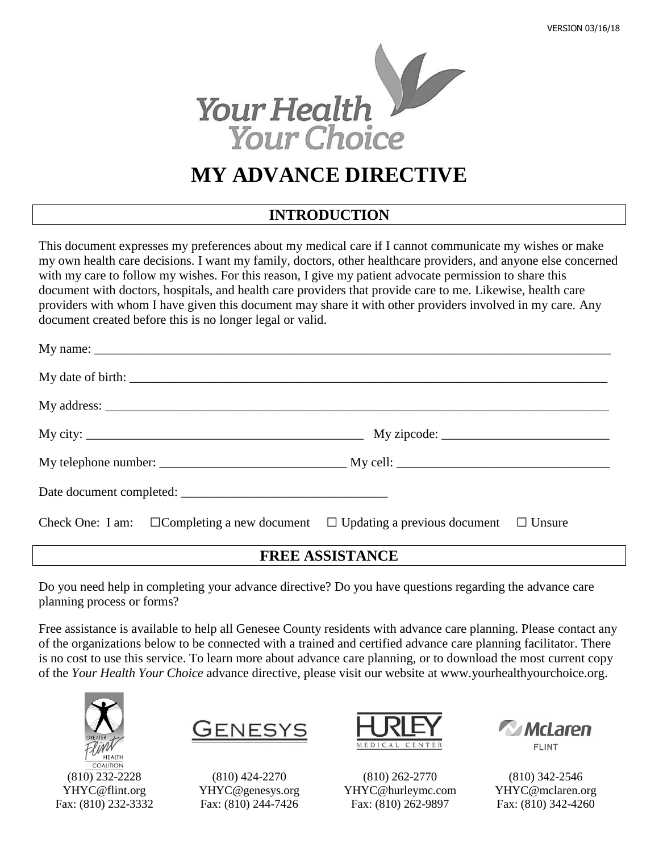

# **MY ADVANCE DIRECTIVE**

# **INTRODUCTION**

This document expresses my preferences about my medical care if I cannot communicate my wishes or make my own health care decisions. I want my family, doctors, other healthcare providers, and anyone else concerned with my care to follow my wishes. For this reason, I give my patient advocate permission to share this document with doctors, hospitals, and health care providers that provide care to me. Likewise, health care providers with whom I have given this document may share it with other providers involved in my care. Any document created before this is no longer legal or valid.

| Check One: I am: $\Box$ Completing a new document $\Box$ Updating a previous document $\Box$ Unsure |
|-----------------------------------------------------------------------------------------------------|

## **FREE ASSISTANCE**

Do you need help in completing your advance directive? Do you have questions regarding the advance care planning process or forms?

Free assistance is available to help all Genesee County residents with advance care planning. Please contact any of the organizations below to be connected with a trained and certified advance care planning facilitator. There is no cost to use this service. To learn more about advance care planning, or to download the most current copy of the *Your Health Your Choice* advance directive, please visit our website at [www.yourhealthyourchoice.org.](http://www.yourhealthyourchoice.org/)



(810) 232-2228 [YHYC@flint.org](mailto:YHYC@flint.org) Fax: (810) 232-3332



(810) 424-2270 [YHYC@genesys.org](mailto:YHYC@genesys.org) Fax: (810) 244-7426



(810) 262-2770 [YHYC@hurleymc.com](mailto:YHYC@hurleymc.com) Fax: (810) 262-9897



(810) 342-2546 [YHYC@mclaren.org](mailto:YHYC@mclaren.org) Fax: (810) 342-4260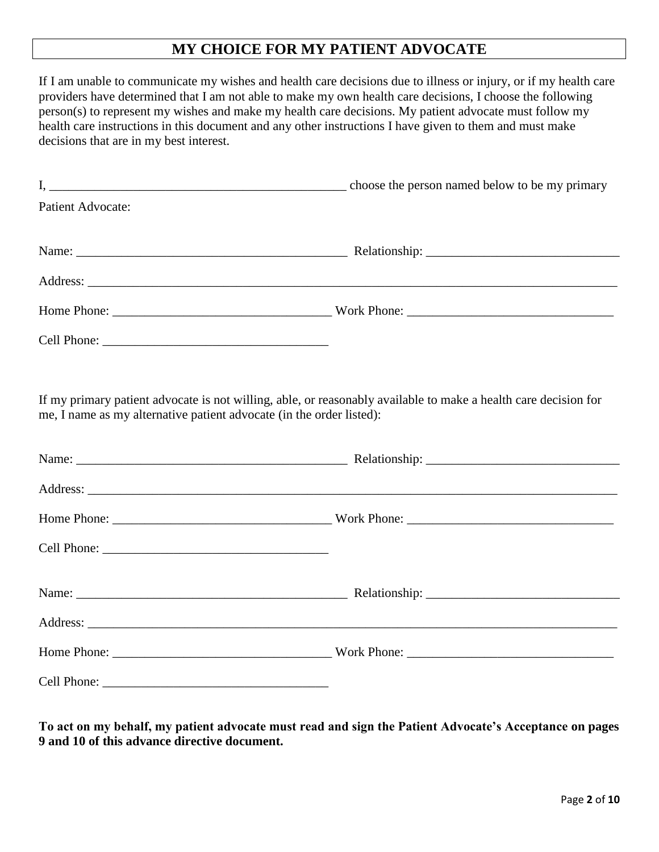# **MY CHOICE FOR MY PATIENT ADVOCATE**

If I am unable to communicate my wishes and health care decisions due to illness or injury, or if my health care providers have determined that I am not able to make my own health care decisions, I choose the following person(s) to represent my wishes and make my health care decisions. My patient advocate must follow my health care instructions in this document and any other instructions I have given to them and must make decisions that are in my best interest. I, the same of the person named below to be my primary choose the person named below to be my primary Patient Advocate: Name: \_\_\_\_\_\_\_\_\_\_\_\_\_\_\_\_\_\_\_\_\_\_\_\_\_\_\_\_\_\_\_\_\_\_\_\_\_\_\_\_\_\_ Relationship: \_\_\_\_\_\_\_\_\_\_\_\_\_\_\_\_\_\_\_\_\_\_\_\_\_\_\_\_\_\_ Address: Home Phone: \_\_\_\_\_\_\_\_\_\_\_\_\_\_\_\_\_\_\_\_\_\_\_\_\_\_\_\_\_\_\_\_\_\_ Work Phone: \_\_\_\_\_\_\_\_\_\_\_\_\_\_\_\_\_\_\_\_\_\_\_\_\_\_\_\_\_\_\_\_ Cell Phone: \_\_\_\_\_\_\_\_\_\_\_\_\_\_\_\_\_\_\_\_\_\_\_\_\_\_\_\_\_\_\_\_\_\_\_ If my primary patient advocate is not willing, able, or reasonably available to make a health care decision for me, I name as my alternative patient advocate (in the order listed): Name: \_\_\_\_\_\_\_\_\_\_\_\_\_\_\_\_\_\_\_\_\_\_\_\_\_\_\_\_\_\_\_\_\_\_\_\_\_\_\_\_\_\_ Relationship: \_\_\_\_\_\_\_\_\_\_\_\_\_\_\_\_\_\_\_\_\_\_\_\_\_\_\_\_\_\_ Address: \_\_\_\_\_\_\_\_\_\_\_\_\_\_\_\_\_\_\_\_\_\_\_\_\_\_\_\_\_\_\_\_\_\_\_\_\_\_\_\_\_\_\_\_\_\_\_\_\_\_\_\_\_\_\_\_\_\_\_\_\_\_\_\_\_\_\_\_\_\_\_\_\_\_\_\_\_\_\_\_\_\_ Home Phone: work Phone: Cell Phone: \_\_\_\_\_\_\_\_\_\_\_\_\_\_\_\_\_\_\_\_\_\_\_\_\_\_\_\_\_\_\_\_\_\_\_ Name: The example of the Relationship:  $\blacksquare$  Relationship:  $\blacksquare$ Address: Home Phone: \_\_\_\_\_\_\_\_\_\_\_\_\_\_\_\_\_\_\_\_\_\_\_\_\_\_\_\_\_\_\_\_\_\_ Work Phone: \_\_\_\_\_\_\_\_\_\_\_\_\_\_\_\_\_\_\_\_\_\_\_\_\_\_\_\_\_\_\_\_ Cell Phone: \_\_\_\_\_\_\_\_\_\_\_\_\_\_\_\_\_\_\_\_\_\_\_\_\_\_\_\_\_\_\_\_\_\_\_

**To act on my behalf, my patient advocate must read and sign the Patient Advocate's Acceptance on pages 9 and 10 of this advance directive document.**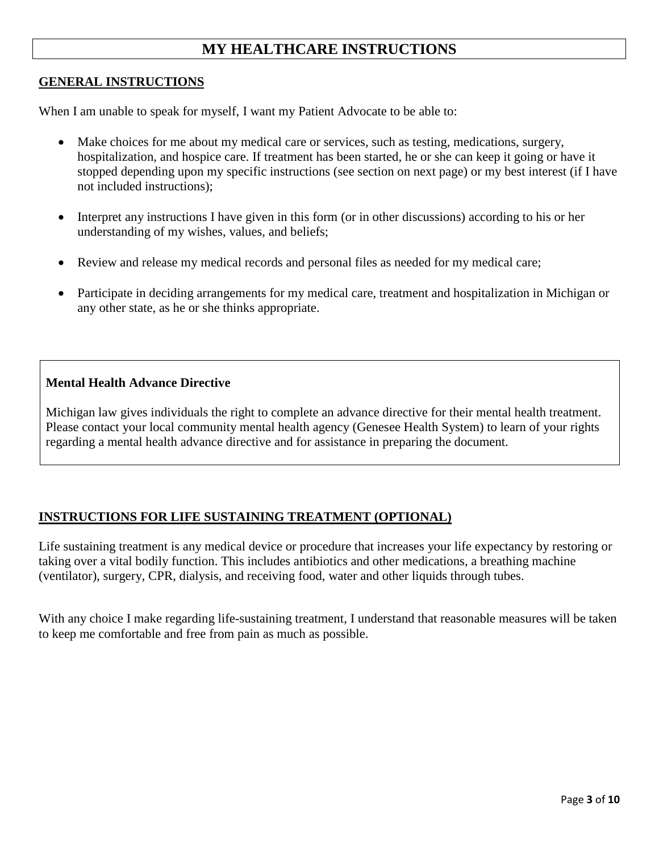# **MY HEALTHCARE INSTRUCTIONS**

#### **GENERAL INSTRUCTIONS**

When I am unable to speak for myself, I want my Patient Advocate to be able to:

- Make choices for me about my medical care or services, such as testing, medications, surgery, hospitalization, and hospice care. If treatment has been started, he or she can keep it going or have it stopped depending upon my specific instructions (see section on next page) or my best interest (if I have not included instructions);
- Interpret any instructions I have given in this form (or in other discussions) according to his or her understanding of my wishes, values, and beliefs;
- Review and release my medical records and personal files as needed for my medical care;
- Participate in deciding arrangements for my medical care, treatment and hospitalization in Michigan or any other state, as he or she thinks appropriate.

#### **Mental Health Advance Directive**

Michigan law gives individuals the right to complete an advance directive for their mental health treatment. Please contact your local community mental health agency (Genesee Health System) to learn of your rights regarding a mental health advance directive and for assistance in preparing the document.

### **INSTRUCTIONS FOR LIFE SUSTAINING TREATMENT (OPTIONAL)**

Life sustaining treatment is any medical device or procedure that increases your life expectancy by restoring or taking over a vital bodily function. This includes antibiotics and other medications, a breathing machine (ventilator), surgery, CPR, dialysis, and receiving food, water and other liquids through tubes.

With any choice I make regarding life-sustaining treatment, I understand that reasonable measures will be taken to keep me comfortable and free from pain as much as possible.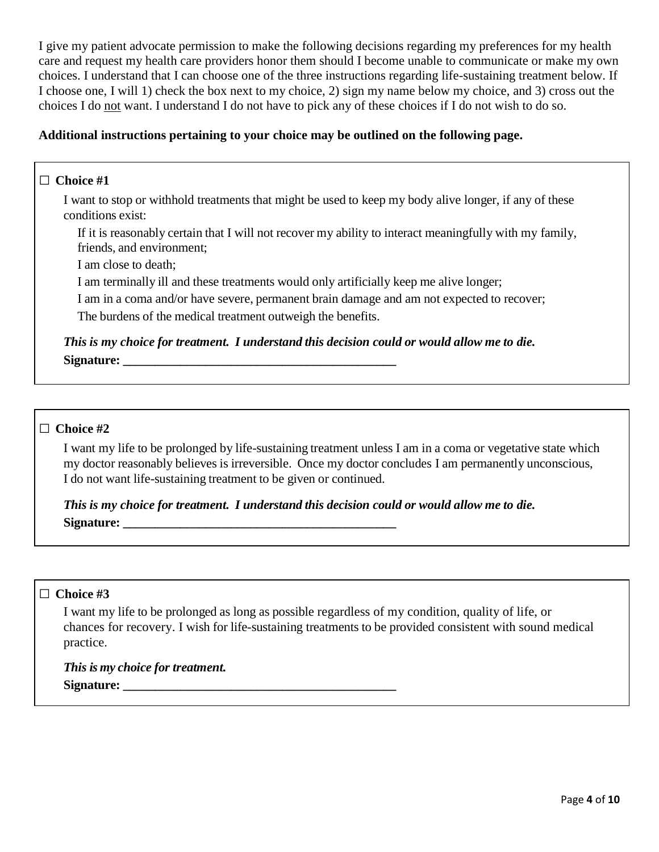I give my patient advocate permission to make the following decisions regarding my preferences for my health care and request my health care providers honor them should I become unable to communicate or make my own choices. I understand that I can choose one of the three instructions regarding life-sustaining treatment below. If I choose one, I will 1) check the box next to my choice, 2) sign my name below my choice, and 3) cross out the choices I do not want. I understand I do not have to pick any of these choices if I do not wish to do so.

### **Additional instructions pertaining to your choice may be outlined on the following page.**

#### □ **Choice #1**

I want to stop or withhold treatments that might be used to keep my body alive longer, if any of these conditions exist:

If it is reasonably certain that I will not recover my ability to interact meaningfully with my family, friends, and environment;

I am close to death;

I am terminally ill and these treatments would only artificially keep me alive longer;

I am in a coma and/or have severe, permanent brain damage and am not expected to recover;

The burdens of the medical treatment outweigh the benefits.

*This is my choice for treatment. I understand this decision could or would allow me to die.* **Signature: \_\_\_\_\_\_\_\_\_\_\_\_\_\_\_\_\_\_\_\_\_\_\_\_\_\_\_\_\_\_\_\_\_\_\_\_\_\_\_\_\_\_\_**

#### □ **Choice #2**

I want my life to be prolonged by life-sustaining treatment unless I am in a coma or vegetative state which my doctor reasonably believes is irreversible. Once my doctor concludes I am permanently unconscious, I do not want life-sustaining treatment to be given or continued.

*This is my choice for treatment. I understand this decision could or would allow me to die.* **Signature:**  $\blacksquare$ 

#### □ **Choice #3**

I want my life to be prolonged as long as possible regardless of my condition, quality of life, or chances for recovery. I wish for life-sustaining treatments to be provided consistent with sound medical practice.

*This is my choice for treatment.*  **Signature: \_\_\_\_\_\_\_\_\_\_\_\_\_\_\_\_\_\_\_\_\_\_\_\_\_\_\_\_\_\_\_\_\_\_\_\_\_\_\_\_\_\_\_**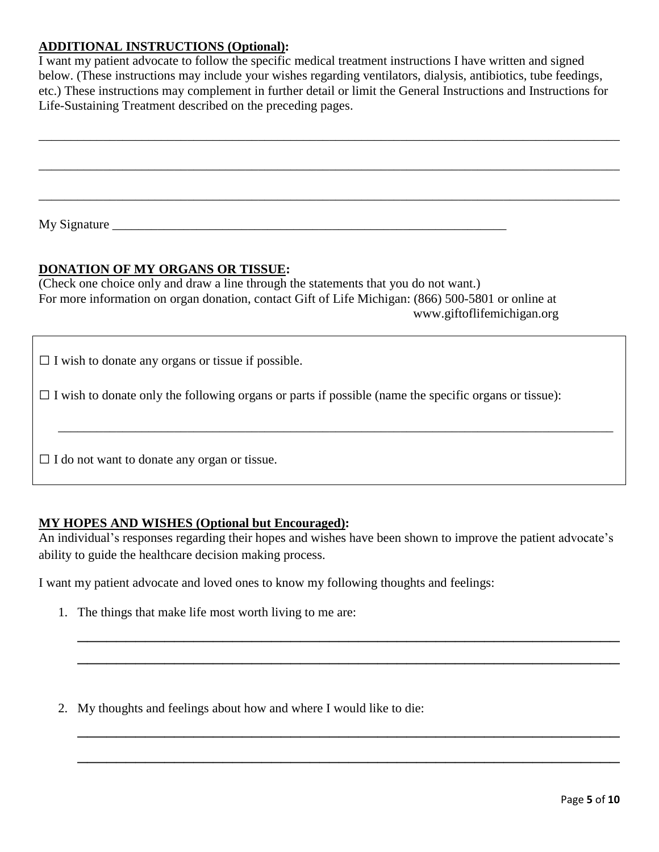### **ADDITIONAL INSTRUCTIONS (Optional):**

I want my patient advocate to follow the specific medical treatment instructions I have written and signed below. (These instructions may include your wishes regarding ventilators, dialysis, antibiotics, tube feedings, etc.) These instructions may complement in further detail or limit the General Instructions and Instructions for Life-Sustaining Treatment described on the preceding pages.

\_\_\_\_\_\_\_\_\_\_\_\_\_\_\_\_\_\_\_\_\_\_\_\_\_\_\_\_\_\_\_\_\_\_\_\_\_\_\_\_\_\_\_\_\_\_\_\_\_\_\_\_\_\_\_\_\_\_\_\_\_\_\_\_\_\_\_\_\_\_\_\_\_\_\_\_\_\_\_\_\_\_\_\_\_\_\_\_\_\_

\_\_\_\_\_\_\_\_\_\_\_\_\_\_\_\_\_\_\_\_\_\_\_\_\_\_\_\_\_\_\_\_\_\_\_\_\_\_\_\_\_\_\_\_\_\_\_\_\_\_\_\_\_\_\_\_\_\_\_\_\_\_\_\_\_\_\_\_\_\_\_\_\_\_\_\_\_\_\_\_\_\_\_\_\_\_\_\_\_\_

\_\_\_\_\_\_\_\_\_\_\_\_\_\_\_\_\_\_\_\_\_\_\_\_\_\_\_\_\_\_\_\_\_\_\_\_\_\_\_\_\_\_\_\_\_\_\_\_\_\_\_\_\_\_\_\_\_\_\_\_\_\_\_\_\_\_\_\_\_\_\_\_\_\_\_\_\_\_\_\_\_\_\_\_\_\_\_\_\_\_

My Signature \_\_\_\_\_\_\_\_\_\_\_\_\_\_\_\_\_\_\_\_\_\_\_\_\_\_\_\_\_\_\_\_\_\_\_\_\_\_\_\_\_\_\_\_\_\_\_\_\_\_\_\_\_\_\_\_\_\_\_\_\_

#### **DONATION OF MY ORGANS OR TISSUE:**

(Check one choice only and draw a line through the statements that you do not want.) For more information on organ donation, contact Gift of Life Michigan: (866) 500-5801 or online at www.giftoflifemichigan.org

 $\Box$  I wish to donate any organs or tissue if possible.

 $\Box$  I wish to donate only the following organs or parts if possible (name the specific organs or tissue):

 $\Box$  I do not want to donate any organ or tissue.

#### **MY HOPES AND WISHES (Optional but Encouraged):**

An individual's responses regarding their hopes and wishes have been shown to improve the patient advocate's ability to guide the healthcare decision making process.

\_\_\_\_\_\_\_\_\_\_\_\_\_\_\_\_\_\_\_\_\_\_\_\_\_\_\_\_\_\_\_\_\_\_\_\_\_\_\_\_\_\_\_\_\_\_\_\_\_\_\_\_\_\_\_\_

\_\_\_\_\_\_\_\_\_\_\_\_\_\_\_\_\_\_\_\_\_\_\_\_\_\_\_\_\_\_\_\_\_\_\_\_\_\_\_\_\_\_\_\_\_\_\_\_\_\_\_\_\_\_\_\_

\_\_\_\_\_\_\_\_\_\_\_\_\_\_\_\_\_\_\_\_\_\_\_\_\_\_\_\_\_\_\_\_\_\_\_\_\_\_\_\_\_\_\_\_\_\_\_\_\_\_\_\_\_\_\_\_

\_\_\_\_\_\_\_\_\_\_\_\_\_\_\_\_\_\_\_\_\_\_\_\_\_\_\_\_\_\_\_\_\_\_\_\_\_\_\_\_\_\_\_\_\_\_\_\_\_\_\_\_\_\_\_\_

 $\overline{\phantom{a}}$  ,  $\overline{\phantom{a}}$  ,  $\overline{\phantom{a}}$  ,  $\overline{\phantom{a}}$  ,  $\overline{\phantom{a}}$  ,  $\overline{\phantom{a}}$  ,  $\overline{\phantom{a}}$  ,  $\overline{\phantom{a}}$  ,  $\overline{\phantom{a}}$  ,  $\overline{\phantom{a}}$  ,  $\overline{\phantom{a}}$  ,  $\overline{\phantom{a}}$  ,  $\overline{\phantom{a}}$  ,  $\overline{\phantom{a}}$  ,  $\overline{\phantom{a}}$  ,  $\overline{\phantom{a}}$ 

I want my patient advocate and loved ones to know my following thoughts and feelings:

- 1. The things that make life most worth living to me are:
- 2. My thoughts and feelings about how and where I would like to die: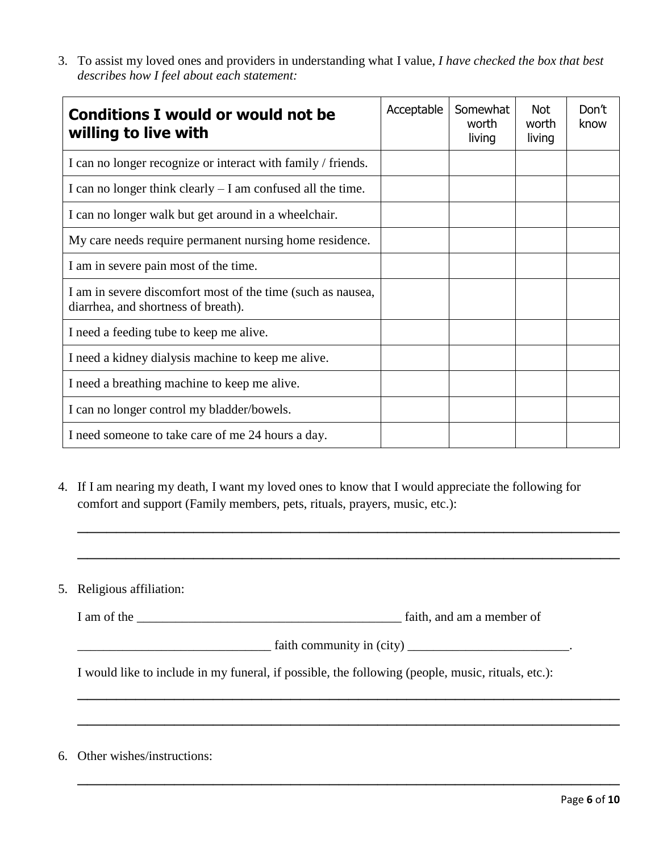3. To assist my loved ones and providers in understanding what I value, *I have checked the box that best describes how I feel about each statement:*

| <b>Conditions I would or would not be</b><br>willing to live with                                  | Acceptable | Somewhat<br>worth<br>living | <b>Not</b><br>worth<br>living | Don't<br>know |
|----------------------------------------------------------------------------------------------------|------------|-----------------------------|-------------------------------|---------------|
| I can no longer recognize or interact with family / friends.                                       |            |                             |                               |               |
| I can no longer think clearly $- I$ am confused all the time.                                      |            |                             |                               |               |
| I can no longer walk but get around in a wheelchair.                                               |            |                             |                               |               |
| My care needs require permanent nursing home residence.                                            |            |                             |                               |               |
| I am in severe pain most of the time.                                                              |            |                             |                               |               |
| I am in severe discomfort most of the time (such as nausea,<br>diarrhea, and shortness of breath). |            |                             |                               |               |
| I need a feeding tube to keep me alive.                                                            |            |                             |                               |               |
| I need a kidney dialysis machine to keep me alive.                                                 |            |                             |                               |               |
| I need a breathing machine to keep me alive.                                                       |            |                             |                               |               |
| I can no longer control my bladder/bowels.                                                         |            |                             |                               |               |
| I need someone to take care of me 24 hours a day.                                                  |            |                             |                               |               |

4. If I am nearing my death, I want my loved ones to know that I would appreciate the following for comfort and support (Family members, pets, rituals, prayers, music, etc.):

\_\_\_\_\_\_\_\_\_\_\_\_\_\_\_\_\_\_\_\_\_\_\_\_\_\_\_\_\_\_\_\_\_\_\_\_\_\_\_\_\_\_\_\_\_\_\_\_\_\_\_\_\_\_\_\_

\_\_\_\_\_\_\_\_\_\_\_\_\_\_\_\_\_\_\_\_\_\_\_\_\_\_\_\_\_\_\_\_\_\_\_\_\_\_\_\_\_\_\_\_\_\_\_\_\_\_\_\_\_\_\_\_

5. Religious affiliation:

I am of the \_\_\_\_\_\_\_\_\_\_\_\_\_\_\_\_\_\_\_\_\_\_\_\_\_\_\_\_\_\_\_\_\_\_\_\_\_\_\_\_\_ faith, and am a member of

 $\text{faith community in (city)}$ 

\_\_\_\_\_\_\_\_\_\_\_\_\_\_\_\_\_\_\_\_\_\_\_\_\_\_\_\_\_\_\_\_\_\_\_\_\_\_\_\_\_\_\_\_\_\_\_\_\_\_\_\_\_\_\_\_

\_\_\_\_\_\_\_\_\_\_\_\_\_\_\_\_\_\_\_\_\_\_\_\_\_\_\_\_\_\_\_\_\_\_\_\_\_\_\_\_\_\_\_\_\_\_\_\_\_\_\_\_\_\_\_\_

\_\_\_\_\_\_\_\_\_\_\_\_\_\_\_\_\_\_\_\_\_\_\_\_\_\_\_\_\_\_\_\_\_\_\_\_\_\_\_\_\_\_\_\_\_\_\_\_\_\_\_\_\_\_\_\_

I would like to include in my funeral, if possible, the following (people, music, rituals, etc.):

6. Other wishes/instructions: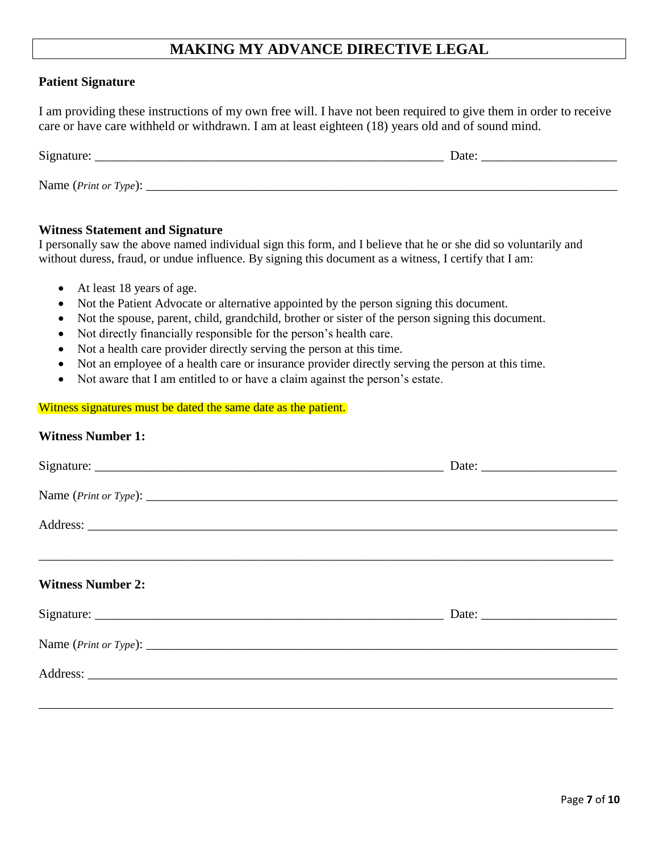# **MAKING MY ADVANCE DIRECTIVE LEGAL**

#### **Patient Signature**

I am providing these instructions of my own free will. I have not been required to give them in order to receive care or have care withheld or withdrawn. I am at least eighteen (18) years old and of sound mind.

| Signature:            | Date |
|-----------------------|------|
|                       |      |
| Name (Print or Type): |      |

#### **Witness Statement and Signature**

I personally saw the above named individual sign this form, and I believe that he or she did so voluntarily and without duress, fraud, or undue influence. By signing this document as a witness, I certify that I am:

- At least 18 years of age.
- Not the Patient Advocate or alternative appointed by the person signing this document.
- Not the spouse, parent, child, grandchild, brother or sister of the person signing this document.
- Not directly financially responsible for the person's health care.
- Not a health care provider directly serving the person at this time.
- Not an employee of a health care or insurance provider directly serving the person at this time.
- Not aware that I am entitled to or have a claim against the person's estate.

#### Witness signatures must be dated the same date as the patient.

#### **Witness Number 1:**

| <b>Witness Number 2:</b>                                                                                                                                                                                                           |  |
|------------------------------------------------------------------------------------------------------------------------------------------------------------------------------------------------------------------------------------|--|
|                                                                                                                                                                                                                                    |  |
|                                                                                                                                                                                                                                    |  |
| Address: <u>Note</u> 2008. The second state of the second state of the second state of the second state of the second state of the second state of the second state of the second state of the second state of the second state of |  |
|                                                                                                                                                                                                                                    |  |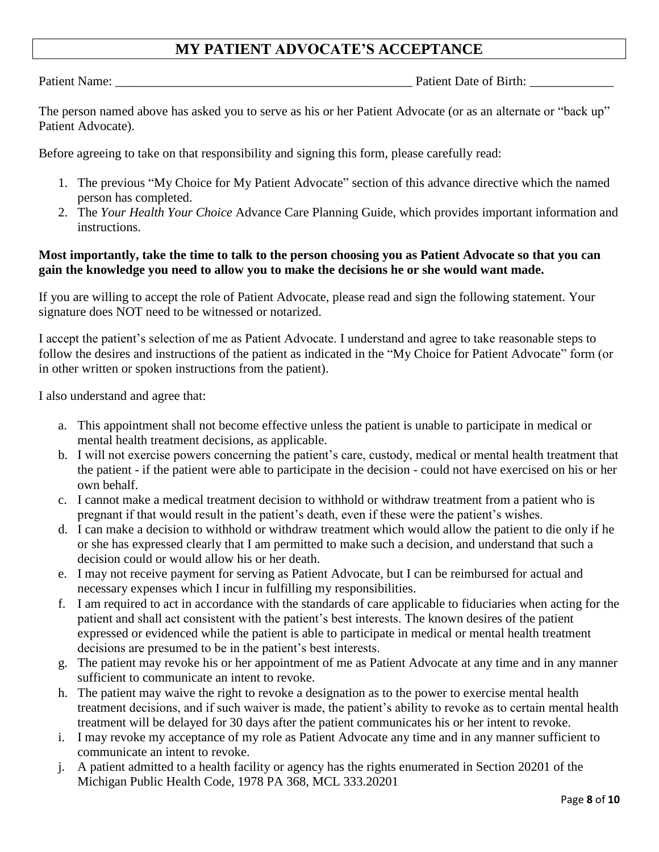# **MY PATIENT ADVOCATE'S ACCEPTANCE**

Patient Name: \_\_\_\_\_\_\_\_\_\_\_\_\_\_\_\_\_\_\_\_\_\_\_\_\_\_\_\_\_\_\_\_\_\_\_\_\_\_\_\_\_\_\_\_\_\_ Patient Date of Birth: \_\_\_\_\_\_\_\_\_\_\_\_\_

The person named above has asked you to serve as his or her Patient Advocate (or as an alternate or "back up" Patient Advocate).

Before agreeing to take on that responsibility and signing this form, please carefully read:

- 1. The previous "My Choice for My Patient Advocate" section of this advance directive which the named person has completed.
- 2. The *Your Health Your Choice* Advance Care Planning Guide, which provides important information and instructions.

### **Most importantly, take the time to talk to the person choosing you as Patient Advocate so that you can gain the knowledge you need to allow you to make the decisions he or she would want made.**

If you are willing to accept the role of Patient Advocate, please read and sign the following statement. Your signature does NOT need to be witnessed or notarized.

I accept the patient's selection of me as Patient Advocate. I understand and agree to take reasonable steps to follow the desires and instructions of the patient as indicated in the "My Choice for Patient Advocate" form (or in other written or spoken instructions from the patient).

I also understand and agree that:

- a. This appointment shall not become effective unless the patient is unable to participate in medical or mental health treatment decisions, as applicable.
- b. I will not exercise powers concerning the patient's care, custody, medical or mental health treatment that the patient - if the patient were able to participate in the decision - could not have exercised on his or her own behalf.
- c. I cannot make a medical treatment decision to withhold or withdraw treatment from a patient who is pregnant if that would result in the patient's death, even if these were the patient's wishes.
- d. I can make a decision to withhold or withdraw treatment which would allow the patient to die only if he or she has expressed clearly that I am permitted to make such a decision, and understand that such a decision could or would allow his or her death.
- e. I may not receive payment for serving as Patient Advocate, but I can be reimbursed for actual and necessary expenses which I incur in fulfilling my responsibilities.
- f. I am required to act in accordance with the standards of care applicable to fiduciaries when acting for the patient and shall act consistent with the patient's best interests. The known desires of the patient expressed or evidenced while the patient is able to participate in medical or mental health treatment decisions are presumed to be in the patient's best interests.
- g. The patient may revoke his or her appointment of me as Patient Advocate at any time and in any manner sufficient to communicate an intent to revoke.
- h. The patient may waive the right to revoke a designation as to the power to exercise mental health treatment decisions, and if such waiver is made, the patient's ability to revoke as to certain mental health treatment will be delayed for 30 days after the patient communicates his or her intent to revoke.
- i. I may revoke my acceptance of my role as Patient Advocate any time and in any manner sufficient to communicate an intent to revoke.
- j. A patient admitted to a health facility or agency has the rights enumerated in Section 20201 of the Michigan Public Health Code, 1978 PA 368, MCL 333.20201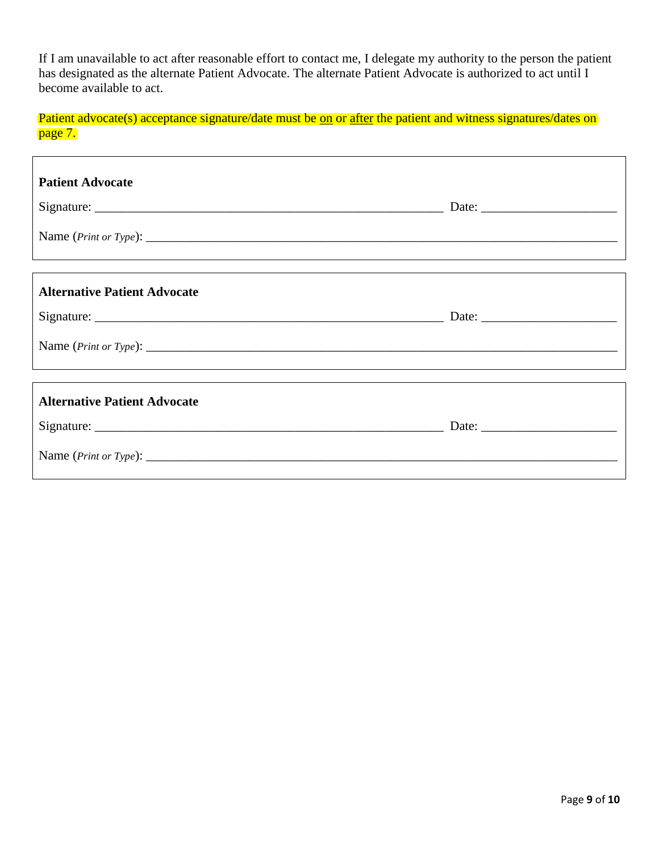If I am unavailable to act after reasonable effort to contact me, I delegate my authority to the person the patient has designated as the alternate Patient Advocate. The alternate Patient Advocate is authorized to act until I become available to act.

Patient advocate(s) acceptance signature/date must be on or after the patient and witness signatures/dates on page 7.

| <b>Patient Advocate</b>                                                                                                 |  |
|-------------------------------------------------------------------------------------------------------------------------|--|
| <b>Alternative Patient Advocate</b><br>,我们也不会有什么?""我们的人,我们也不会不会不会。""我们的人,我们也不会不会不会不会。""我们的人,我们也不会不会不会不会。""我们的人,我们也不会不会不 |  |
| <b>Alternative Patient Advocate</b><br>Name $(Print \ or \ Type)$ :                                                     |  |